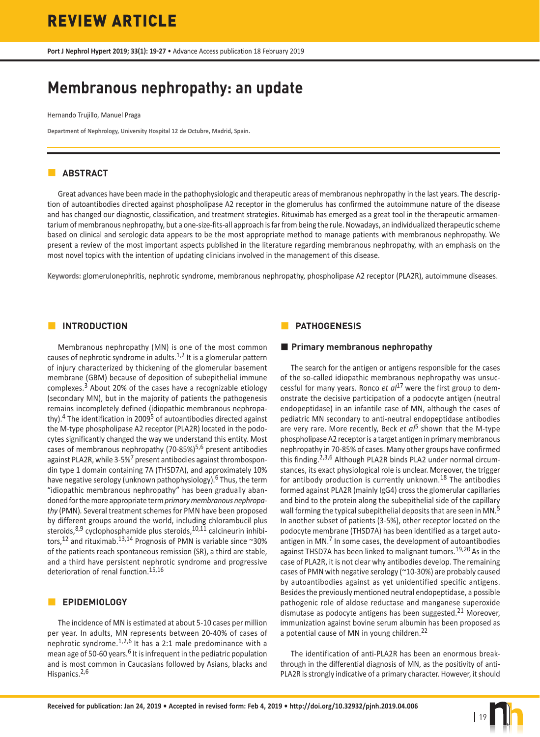**Port J Nephrol Hypert 2019; 33(1): 19-27** • Advance Access publication 18 February 2019

# **Membranous nephropathy: an update**

Hernando Trujillo, Manuel Praga

**Department of Nephrology, University Hospital 12 de Octubre, Madrid, Spain.**

# **ABSTRACT**

Great advances have been made in the pathophysiologic and therapeutic areas of membranous nephropathy in the last years. The description of autoantibodies directed against phospholipase A2 receptor in the glomerulus has confirmed the autoimmune nature of the disease and has changed our diagnostic, classification, and treatment strategies. Rituximab has emerged as a great tool in the therapeutic armamentarium of membranous nephropathy, but a one-size-fits-all approach is far from being the rule. Nowadays, an individualized therapeutic scheme based on clinical and serologic data appears to be the most appropriate method to manage patients with membranous nephropathy. We present a review of the most important aspects published in the literature regarding membranous nephropathy, with an emphasis on the most novel topics with the intention of updating clinicians involved in the management of this disease.

**Keywords:** glomerulonephritis, nephrotic syndrome, membranous nephropathy, phospholipase A2 receptor (PLA2R), autoimmune diseases.

# **INTRODUCTION**

Membranous nephropathy (MN) is one of the most common causes of nephrotic syndrome in adults. $1,2$  It is a glomerular pattern of injury characterized by thickening of the glomerular basement membrane (GBM) because of deposition of subepithelial immune complexes.3 About 20% of the cases have a recognizable etiology (secondary MN), but in the majority of patients the pathogenesis remains incompletely defined (idiopathic membranous nephropathy). $4$  The identification in 2009<sup>5</sup> of autoantibodies directed against the M-type phospholipase A2 receptor (PLA2R) located in the podocytes significantly changed the way we understand this entity. Most cases of membranous nephropathy (70-85%) $5,6$  present antibodies against PLA2R, while 3-5%<sup>7</sup> present antibodies against thrombospondin type 1 domain containing 7A (THSD7A), and approximately 10% have negative serology (unknown pathophysiology).<sup>6</sup> Thus, the term "idiopathic membranous nephropathy" has been gradually abandoned for the more appropriate term *primary membranous nephropathy* (PMN)*.* Several treatment schemes for PMN have been proposed by different groups around the world, including chlorambucil plus steroids, $8,9$  cyclophosphamide plus steroids,  $10,11$  calcineurin inhibitors,<sup>12</sup> and rituximab.<sup>13,14</sup> Prognosis of PMN is variable since ~30% of the patients reach spontaneous remission (SR), a third are stable, and a third have persistent nephrotic syndrome and progressive deterioration of renal function.<sup>15,16</sup>

# **EPIDEMIOLOGY**

The incidence of MN is estimated at about 5-10 cases per million per year. In adults, MN represents between 20-40% of cases of nephrotic syndrome. $1,2,6$  It has a 2:1 male predominance with a mean age of 50-60 years.<sup>6</sup> It is infrequent in the pediatric population and is most common in Caucasians followed by Asians, blacks and Hispanics.<sup>2,6</sup>

# **PATHOGENESIS**

## **Primary membranous nephropathy**

The search for the antigen or antigens responsible for the cases of the so-called idiopathic membranous nephropathy was unsuccessful for many years. Ronco *et al*17 were the first group to demonstrate the decisive participation of a podocyte antigen (neutral endopeptidase) in an infantile case of MN, although the cases of pediatric MN secondary to anti-neutral endopeptidase antibodies are very rare. More recently, Beck *et al*5 shown that the M-type phospholipase A2 receptor is a target antigen in primary membranous nephropathy in 70-85% of cases. Many other groups have confirmed this finding.<sup>2,3,6</sup> Although PLA2R binds PLA2 under normal circumstances, its exact physiological role is unclear. Moreover, the trigger for antibody production is currently unknown.<sup>18</sup> The antibodies formed against PLA2R (mainly IgG4) cross the glomerular capillaries and bind to the protein along the subepithelial side of the capillary wall forming the typical subepithelial deposits that are seen in MN.<sup>5</sup> In another subset of patients (3-5%), other receptor located on the podocyte membrane (THSD7A) has been identified as a target autoantigen in MN. $<sup>7</sup>$  In some cases, the development of autoantibodies</sup> against THSD7A has been linked to malignant tumors.<sup>19,20</sup> As in the case of PLA2R, it is not clear why antibodies develop. The remaining cases of PMN with negative serology (~10-30%) are probably caused by autoantibodies against as yet unidentified specific antigens. Besides the previously mentioned neutral endopeptidase, a possible pathogenic role of aldose reductase and manganese superoxide dismutase as podocyte antigens has been suggested.<sup>21</sup> Moreover, immunization against bovine serum albumin has been proposed as a potential cause of MN in young children.<sup>22</sup>

The identification of anti-PLA2R has been an enormous breakthrough in the differential diagnosis of MN, as the positivity of anti-PLA2R is strongly indicative of a primary character. However, it should

| 19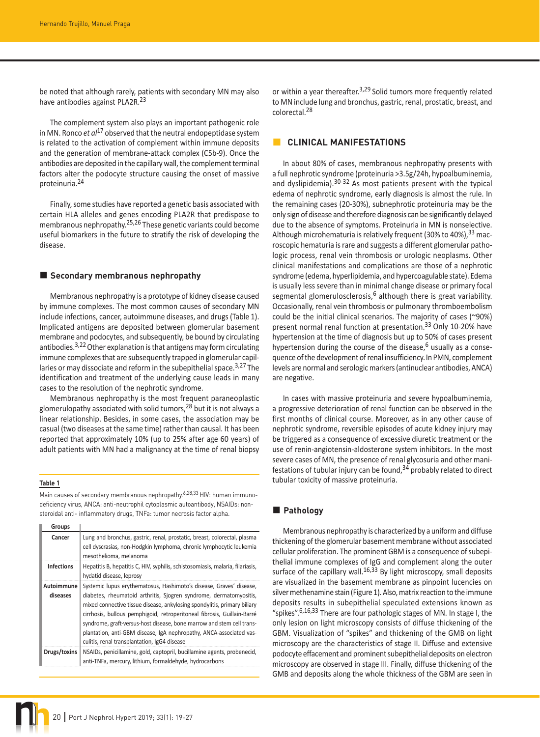be noted that although rarely, patients with secondary MN may also have antibodies against PLA2R.<sup>23</sup>

The complement system also plays an important pathogenic role in MN. Ronco *et al*17 observed that the neutral endopeptidase system is related to the activation of complement within immune deposits and the generation of membrane-attack complex (C5b-9). Once the antibodies are deposited in the capillary wall, the complement terminal factors alter the podocyte structure causing the onset of massive proteinuria.<sup>24</sup>

Finally, some studies have reported a genetic basis associated with certain HLA alleles and genes encoding PLA2R that predispose to membranous nephropathy.25,26 These genetic variants could become useful biomarkers in the future to stratify the risk of developing the disease.

#### **Secondary membranous nephropathy**

Membranous nephropathy is a prototype of kidney disease caused by immune complexes. The most common causes of secondary MN include infections, cancer, autoimmune diseases, and drugs (Table 1). Implicated antigens are deposited between glomerular basement membrane and podocytes, and subsequently, be bound by circulating antibodies.<sup>3,22</sup> Other explanation is that antigens may form circulating immune complexes that are subsequently trapped in glomerular capillaries or may dissociate and reform in the subepithelial space.<sup>3,27</sup> The identification and treatment of the underlying cause leads in many cases to the resolution of the nephrotic syndrome.

Membranous nephropathy is the most frequent paraneoplastic glomerulopathy associated with solid tumors,<sup>28</sup> but it is not always a linear relationship. Besides, in some cases, the association may be casual (two diseases at the same time) rather than causal. It has been reported that approximately 10% (up to 25% after age 60 years) of adult patients with MN had a malignancy at the time of renal biopsy

#### **Table 1**

Main causes of secondary membranous nephropathy.<sup>6,28,33</sup> HIV: human immunodeficiency virus, ANCA: anti-neutrophil cytoplasmic autoantibody, NSAIDs: nonsteroidal anti- inflammatory drugs, TNFa: tumor necrosis factor alpha.

| Groups                 |                                                                                                                                                                                                                                                                                                                                                                                                                                                                                                  |
|------------------------|--------------------------------------------------------------------------------------------------------------------------------------------------------------------------------------------------------------------------------------------------------------------------------------------------------------------------------------------------------------------------------------------------------------------------------------------------------------------------------------------------|
| Cancer                 | Lung and bronchus, gastric, renal, prostatic, breast, colorectal, plasma<br>cell dyscrasias, non-Hodgkin lymphoma, chronic lymphocytic leukemia<br>mesothelioma, melanoma                                                                                                                                                                                                                                                                                                                        |
| <b>Infections</b>      | Hepatitis B, hepatitis C, HIV, syphilis, schistosomiasis, malaria, filariasis,<br>hydatid disease, leprosy                                                                                                                                                                                                                                                                                                                                                                                       |
| Autoimmune<br>diseases | Systemic lupus erythematosus, Hashimoto's disease, Graves' disease,<br>diabetes, rheumatoid arthritis, Sjogren syndrome, dermatomyositis,<br>mixed connective tissue disease, ankylosing spondylitis, primary biliary<br>cirrhosis, bullous pemphigoid, retroperitoneal fibrosis, Guillain-Barré<br>syndrome, graft-versus-host disease, bone marrow and stem cell trans-<br>plantation, anti-GBM disease, IgA nephropathy, ANCA-associated vas-<br>culitis, renal transplantation, IgG4 disease |
| Drugs/toxins           | NSAIDs, penicillamine, gold, captopril, bucillamine agents, probenecid,<br>anti-TNFa, mercury, lithium, formaldehyde, hydrocarbons                                                                                                                                                                                                                                                                                                                                                               |

or within a year thereafter.<sup>3,29</sup> Solid tumors more frequently related to MN include lung and bronchus, gastric, renal, prostatic, breast, and colorectal.<sup>28</sup>

## **CLINICAL MANIFESTATIONS**

In about 80% of cases, membranous nephropathy presents with a full nephrotic syndrome (proteinuria >3.5g/24h, hypoalbuminemia, and dyslipidemia).30-32 As most patients present with the typical edema of nephrotic syndrome, early diagnosis is almost the rule. In the remaining cases (20-30%), subnephrotic proteinuria may be the only sign of disease and therefore diagnosis can be significantly delayed due to the absence of symptoms. Proteinuria in MN is nonselective. Although microhematuria is relatively frequent (30% to 40%), 33 macroscopic hematuria is rare and suggests a different glomerular pathologic process, renal vein thrombosis or urologic neoplasms. Other clinical manifestations and complications are those of a nephrotic syndrome (edema, hyperlipidemia, and hypercoagulable state). Edema is usually less severe than in minimal change disease or primary focal segmental glomerulosclerosis,<sup>6</sup> although there is great variability. Occasionally, renal vein thrombosis or pulmonary thromboembolism could be the initial clinical scenarios. The majority of cases (~90%) present normal renal function at presentation.33 Only 10-20% have hypertension at the time of diagnosis but up to 50% of cases present hypertension during the course of the disease,  $6$  usually as a consequence of the development of renal insufficiency.In PMN, complement levels are normal and serologic markers (antinuclear antibodies, ANCA) are negative.

In cases with massive proteinuria and severe hypoalbuminemia, a progressive deterioration of renal function can be observed in the first months of clinical course. Moreover, as in any other cause of nephrotic syndrome, reversible episodes of acute kidney injury may be triggered as a consequence of excessive diuretic treatment or the use of renin-angiotensin-aldosterone system inhibitors. In the most severe cases of MN, the presence of renal glycosuria and other manifestations of tubular injury can be found,  $34$  probably related to direct tubular toxicity of massive proteinuria.

## **Pathology**

Membranous nephropathy is characterized by a uniform and diffuse thickening of the glomerular basement membrane without associated cellular proliferation. The prominent GBM is a consequence of subepithelial immune complexes of IgG and complement along the outer surface of the capillary wall.<sup>16,33</sup> By light microscopy, small deposits are visualized in the basement membrane as pinpoint lucencies on silver methenamine stain (Figure 1). Also, matrix reaction to the immune deposits results in subepithelial speculated extensions known as "spikes".<sup>6,16,33</sup> There are four pathologic stages of MN. In stage I, the only lesion on light microscopy consists of diffuse thickening of the GBM. Visualization of "spikes" and thickening of the GMB on light microscopy are the characteristics of stage II. Diffuse and extensive podocyte effacement and prominent subepithelial deposits on electron microscopy are observed in stage III. Finally, diffuse thickening of the GMB and deposits along the whole thickness of the GBM are seen in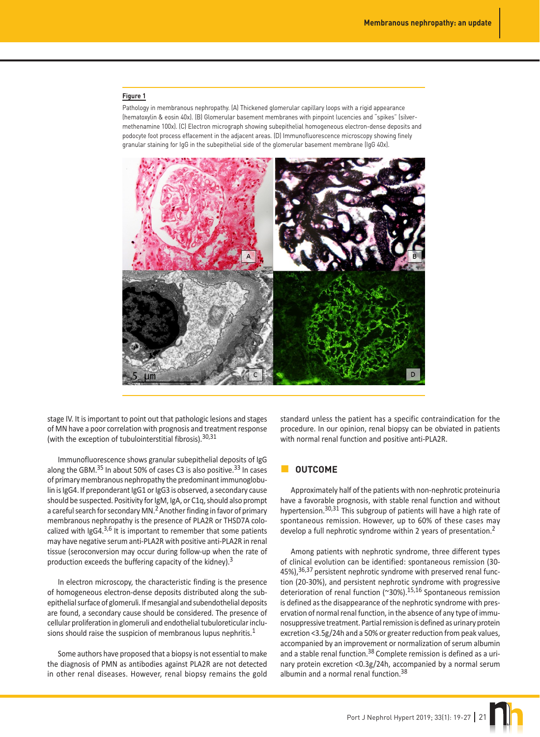#### **Figure 1**

Pathology in membranous nephropathy. (A) Thickened glomerular capillary loops with a rigid appearance (hematoxylin & eosin 40x). (B) Glomerular basement membranes with pinpoint lucencies and "spikes" (silvermethenamine 100x). (C) Electron micrograph showing subepithelial homogeneous electron-dense deposits and podocyte foot process effacement in the adjacent areas. (D) Immunofluorescence microscopy showing finely granular staining for IgG in the subepithelial side of the glomerular basement membrane (IgG 40x).



stage IV. It is important to point out that pathologic lesions and stages of MN have a poor correlation with prognosis and treatment response (with the exception of tubulointerstitial fibrosis).  $30,31$ 

Immunofluorescence shows granular subepithelial deposits of IgG along the GBM. $^{35}$  In about 50% of cases C3 is also positive. $^{33}$  In cases of primary membranous nephropathy the predominant immunoglobulin is IgG4. If preponderant IgG1 or IgG3 is observed, a secondary cause should be suspected. Positivity for IgM, IgA, or C1q, should also prompt a careful search for secondary MN.<sup>2</sup> Another finding in favor of primary membranous nephropathy is the presence of PLA2R or THSD7A colocalized with  $\lg G4^{3,6}$  It is important to remember that some patients may have negative serum anti-PLA2R with positive anti-PLA2R in renal tissue (seroconversion may occur during follow-up when the rate of production exceeds the buffering capacity of the kidney).<sup>3</sup>

In electron microscopy, the characteristic finding is the presence of homogeneous electron-dense deposits distributed along the subepithelial surface of glomeruli. If mesangial and subendothelial deposits are found, a secondary cause should be considered. The presence of cellular proliferation in glomeruli and endothelial tubuloreticular inclusions should raise the suspicion of membranous lupus nephritis. $1$ 

Some authors have proposed that a biopsy is not essential to make the diagnosis of PMN as antibodies against PLA2R are not detected in other renal diseases. However, renal biopsy remains the gold

standard unless the patient has a specific contraindication for the procedure. In our opinion, renal biopsy can be obviated in patients with normal renal function and positive anti-PLA2R.

## **OUTCOME**

Approximately half of the patients with non-nephrotic proteinuria have a favorable prognosis, with stable renal function and without hypertension.<sup>30,31</sup> This subgroup of patients will have a high rate of spontaneous remission. However, up to 60% of these cases may develop a full nephrotic syndrome within 2 years of presentation.<sup>2</sup>

Among patients with nephrotic syndrome, three different types of clinical evolution can be identified: spontaneous remission (30- 45%),<sup>36,37</sup> persistent nephrotic syndrome with preserved renal function (20-30%), and persistent nephrotic syndrome with progressive deterioration of renal function (~30%).15,16 Spontaneous remission is defined as the disappearance of the nephrotic syndrome with preservation of normal renal function, in the absence of any type of immunosuppressive treatment. Partial remission is defined as urinary protein excretion <3.5g/24h and a 50% or greater reduction from peak values, accompanied by an improvement or normalization of serum albumin and a stable renal function.<sup>38</sup> Complete remission is defined as a urinary protein excretion <0.3g/24h, accompanied by a normal serum albumin and a normal renal function.<sup>38</sup>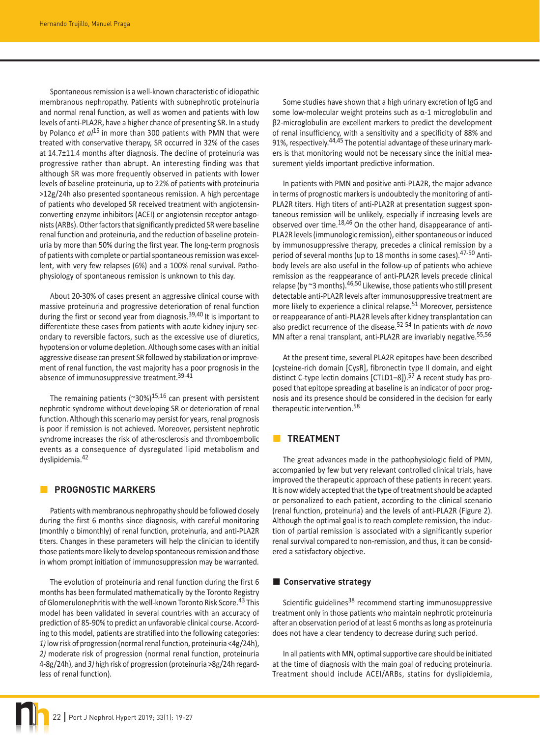Spontaneous remission is a well-known characteristic of idiopathic membranous nephropathy. Patients with subnephrotic proteinuria and normal renal function, as well as women and patients with low levels of anti-PLA2R, have a higher chance of presenting SR. In a study by Polanco *et al*15 in more than 300 patients with PMN that were treated with conservative therapy, SR occurred in 32% of the cases at 14.7±11.4 months after diagnosis. The decline of proteinuria was progressive rather than abrupt. An interesting finding was that although SR was more frequently observed in patients with lower levels of baseline proteinuria, up to 22% of patients with proteinuria >12g/24h also presented spontaneous remission. A high percentage of patients who developed SR received treatment with angiotensinconverting enzyme inhibitors (ACEI) or angiotensin receptor antagonists (ARBs). Other factors that significantly predicted SR were baseline renal function and proteinuria, and the reduction of baseline proteinuria by more than 50% during the first year. The long-term prognosis of patients with complete or partial spontaneous remission was excellent, with very few relapses (6%) and a 100% renal survival. Pathophysiology of spontaneous remission is unknown to this day.

About 20-30% of cases present an aggressive clinical course with massive proteinuria and progressive deterioration of renal function during the first or second year from diagnosis.<sup>39,40</sup> It is important to differentiate these cases from patients with acute kidney injury secondary to reversible factors, such as the excessive use of diuretics, hypotension or volume depletion. Although some cases with an initial aggressive disease can present SR followed by stabilization or improvement of renal function, the vast majority has a poor prognosis in the absence of immunosuppressive treatment.<sup>39-41</sup>

The remaining patients ( $\sim$ 30%)<sup>15,16</sup> can present with persistent nephrotic syndrome without developing SR or deterioration of renal function. Although this scenario may persist for years, renal prognosis is poor if remission is not achieved. Moreover, persistent nephrotic syndrome increases the risk of atherosclerosis and thromboembolic events as a consequence of dysregulated lipid metabolism and dyslipidemia.<sup>42</sup>

## **PROGNOSTIC MARKERS**

Patients with membranous nephropathy should be followed closely during the first 6 months since diagnosis, with careful monitoring (monthly o bimonthly) of renal function, proteinuria, and anti-PLA2R titers. Changes in these parameters will help the clinician to identify those patients more likely to develop spontaneous remission and those in whom prompt initiation of immunosuppression may be warranted.

The evolution of proteinuria and renal function during the first 6 months has been formulated mathematically by the Toronto Registry of Glomerulonephritis with the well-known Toronto Risk Score.<sup>43</sup> This model has been validated in several countries with an accuracy of prediction of 85-90% to predict an unfavorable clinical course. According to this model, patients are stratified into the following categories: *1)* low risk of progression (normal renal function, proteinuria <4g/24h), *2)* moderate risk of progression (normal renal function, proteinuria 4-8g/24h), and *3)* high risk of progression (proteinuria >8g/24h regardless of renal function).

Some studies have shown that a high urinary excretion of IgG and some low-molecular weight proteins such as α-1 microglobulin and β2-microglobulin are excellent markers to predict the development of renal insufficiency, with a sensitivity and a specificity of 88% and 91%, respectively.<sup>44,45</sup> The potential advantage of these urinary markers is that monitoring would not be necessary since the initial measurement yields important predictive information.

In patients with PMN and positive anti-PLA2R, the major advance in terms of prognostic markers is undoubtedly the monitoring of anti-PLA2R titers. High titers of anti-PLA2R at presentation suggest spontaneous remission will be unlikely, especially if increasing levels are observed over time.<sup>18,46</sup> On the other hand, disappearance of anti-PLA2R levels (immunologic remission), either spontaneous or induced by immunosuppressive therapy, precedes a clinical remission by a period of several months (up to 18 months in some cases).<sup>47-50</sup> Antibody levels are also useful in the follow-up of patients who achieve remission as the reappearance of anti-PLA2R levels precede clinical relapse (by  $\approx$ 3 months).  $46,50$  Likewise, those patients who still present detectable anti-PLA2R levels after immunosuppressive treatment are more likely to experience a clinical relapse.<sup>51</sup> Moreover, persistence or reappearance of anti-PLA2R levels after kidney transplantation can also predict recurrence of the disease.52-54 In patients with *de novo* MN after a renal transplant, anti-PLA2R are invariably negative.<sup>55,56</sup>

At the present time, several PLA2R epitopes have been described (cysteine-rich domain [CysR], fibronectin type II domain, and eight distinct C-type lectin domains  $[CTLD1-8]$ ).<sup>57</sup> A recent study has proposed that epitope spreading at baseline is an indicator of poor prognosis and its presence should be considered in the decision for early therapeutic intervention.58

## **TREATMENT**

The great advances made in the pathophysiologic field of PMN, accompanied by few but very relevant controlled clinical trials, have improved the therapeutic approach of these patients in recent years. It is now widely accepted that the type of treatment should be adapted or personalized to each patient, according to the clinical scenario (renal function, proteinuria) and the levels of anti-PLA2R (Figure 2). Although the optimal goal is to reach complete remission, the induction of partial remission is associated with a significantly superior renal survival compared to non-remission, and thus, it can be considered a satisfactory objective.

## **Conservative strategy**

Scientific guidelines<sup>38</sup> recommend starting immunosuppressive treatment only in those patients who maintain nephrotic proteinuria after an observation period of at least 6 months as long as proteinuria does not have a clear tendency to decrease during such period.

In all patients with MN, optimal supportive care should be initiated at the time of diagnosis with the main goal of reducing proteinuria. Treatment should include ACEI/ARBs, statins for dyslipidemia,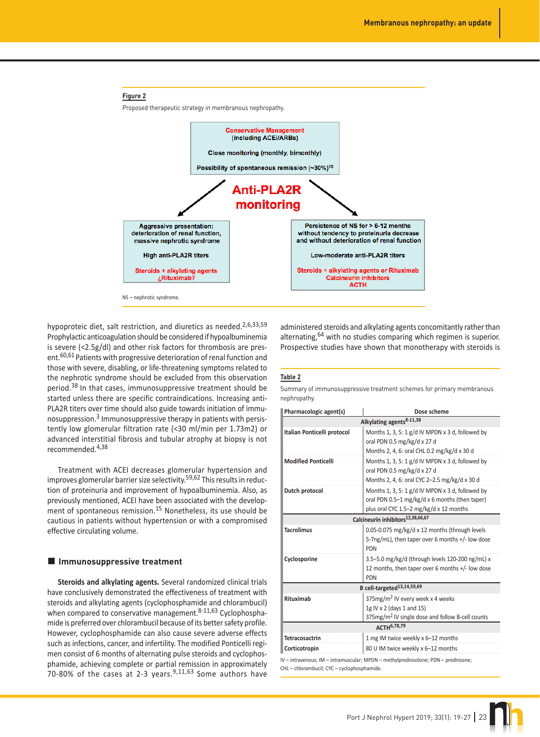

hypoproteic diet, salt restriction, and diuretics as needed. $2,6,33,59$ Prophylactic anticoagulation should be considered if hypoalbuminemia is severe (<2.5g/dl) and other risk factors for thrombosis are present.60,61 Patients with progressive deterioration of renal function and those with severe, disabling, or life-threatening symptoms related to the nephrotic syndrome should be excluded from this observation period.38 In that cases, immunosuppressive treatment should be started unless there are specific contraindications. Increasing anti-PLA2R titers over time should also guide towards initiation of immunosuppression.3 Immunosuppressive therapy in patients with persistently low glomerular filtration rate (<30 ml/min per 1.73m2) or advanced interstitial fibrosis and tubular atrophy at biopsy is not recommended.4,38

Treatment with ACEI decreases glomerular hypertension and improves glomerular barrier size selectivity.<sup>59,62</sup> This results in reduction of proteinuria and improvement of hypoalbuminemia. Also, as previously mentioned, ACEI have been associated with the development of spontaneous remission.<sup>15</sup> Nonetheless, its use should be cautious in patients without hypertension or with a compromised effective circulating volume.

#### $\blacksquare$  Immunosuppressive treatment

**Steroids and alkylating agents.** Several randomized clinical trials have conclusively demonstrated the effectiveness of treatment with steroids and alkylating agents (cyclophosphamide and chlorambucil) when compared to conservative management. $8-11,63$  Cyclophosphamide is preferred over chlorambucil because of its better safety profile. However, cyclophosphamide can also cause severe adverse effects such as infections, cancer, and infertility. The modified Ponticelli regimen consist of 6 months of alternating pulse steroids and cyclophosphamide, achieving complete or partial remission in approximately 70-80% of the cases at 2-3 years. $9,11,63$  Some authors have administered steroids and alkylating agents concomitantly rather than alternating,  $64$  with no studies comparing which regimen is superior. Prospective studies have shown that monotherapy with steroids is

#### **Table 2**

Summary of immunosuppressive treatment schemes for primary membranous nephropathy.

| Pharmacologic agent(s)      | Dose scheme                                                                                                                                   |
|-----------------------------|-----------------------------------------------------------------------------------------------------------------------------------------------|
|                             | Alkylating agents <sup>8-11,38</sup>                                                                                                          |
| Italian Ponticelli protocol | Months 1, 3, 5: 1 $g/d$ IV MPDN x 3 d, followed by<br>oral PDN 0.5 mg/kg/d x 27 d<br>Months 2, 4, 6: oral CHL 0.2 mg/kg/d x 30 d              |
| <b>Modified Ponticelli</b>  | Months 1, 3, 5: 1 g/d IV MPDN x 3 d, followed by<br>oral PDN 0.5 mg/kg/d x 27 d<br>Months 2, 4, 6: oral CYC 2-2.5 mg/kg/d x 30 d              |
| Dutch protocol              | Months 1, 3, 5: 1 g/d IV MPDN x 3 d, followed by<br>oral PDN 0.5-1 mg/kg/d x 6 months (then taper)<br>plus oral CYC 1.5-2 mg/kg/d x 12 months |
|                             | Calcineurin inhibitors <sup>12,38,66,67</sup>                                                                                                 |
| <b>Tacrolimus</b>           | 0.05-0.075 mg/kg/d x 12 months (through levels<br>5-7ng/mL), then taper over 6 months +/- low dose<br><b>PDN</b>                              |
| Cyclosporine                | 3.5-5.0 mg/kg/d (through levels 120-200 ng/mL) x<br>12 months, then taper over 6 months +/- low dose<br><b>PDN</b>                            |
|                             | B cell-targeted <sup>13,14,59,69</sup>                                                                                                        |
| Rituximab                   | 375mg/m <sup>2</sup> IV every week x 4 weeks<br>1g IV x 2 (days 1 and 15)<br>375mg/m <sup>2</sup> IV single dose and follow B-cell counts     |
|                             | $\Delta$ CTH <sup>6,78,79</sup>                                                                                                               |
| Tetracosactrin              | 1 mg IM twice weekly x 6-12 months                                                                                                            |
| Corticotropin               | 80 U IM twice weekly x 6-12 months                                                                                                            |

CHL – chlorambucil; CYC – cyclophosphamide.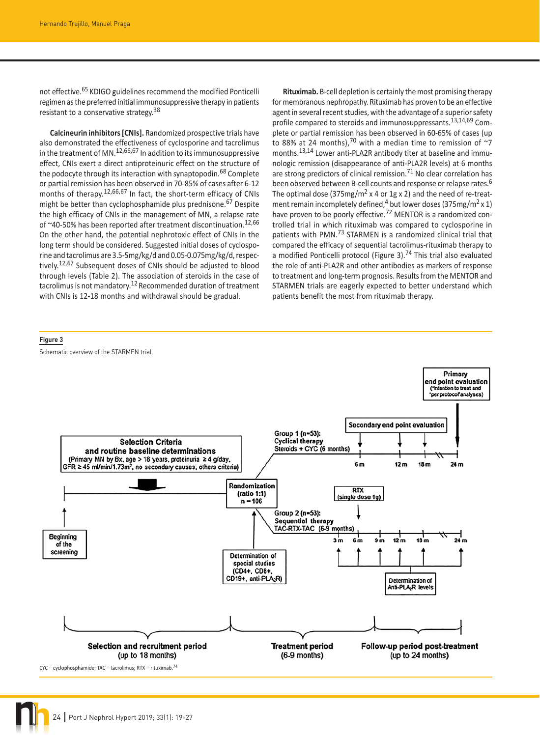not effective.<sup>65</sup> KDIGO guidelines recommend the modified Ponticelli regimen as the preferred initial immunosuppressive therapy in patients resistant to a conservative strategy.<sup>38</sup>

**Calcineurin inhibitors [CNIs].** Randomized prospective trials have also demonstrated the effectiveness of cyclosporine and tacrolimus in the treatment of MN.12,66,67 In addition to its immunosuppressive effect, CNIs exert a direct antiproteinuric effect on the structure of the podocyte through its interaction with synaptopodin.<sup>68</sup> Complete or partial remission has been observed in 70-85% of cases after 6-12 months of therapy.<sup>12,66,67</sup> In fact, the short-term efficacy of CNIs might be better than cyclophosphamide plus prednisone.<sup>67</sup> Despite the high efficacy of CNIs in the management of MN, a relapse rate of  $~40$ -50% has been reported after treatment discontinuation.<sup>12,66</sup> On the other hand, the potential nephrotoxic effect of CNIs in the long term should be considered. Suggested initial doses of cyclosporine and tacrolimus are 3.5-5mg/kg/d and 0.05-0.075mg/kg/d, respectively.<sup>12,67</sup> Subsequent doses of CNIs should be adjusted to blood through levels (Table 2). The association of steroids in the case of tacrolimus is not mandatory.<sup>12</sup> Recommended duration of treatment with CNIs is 12-18 months and withdrawal should be gradual.

**Figure 3**

Schematic overview of the STARMEN trial.

**Rituximab.** B-cell depletion is certainly the most promising therapy for membranous nephropathy. Rituximab has proven to be an effective agent in several recent studies, with the advantage of a superior safety profile compared to steroids and immunosuppressants.<sup>13,14,69</sup> Complete or partial remission has been observed in 60-65% of cases (up to 88% at 24 months), $70$  with a median time to remission of  $\sim$ 7 months.13,14 Lower anti-PLA2R antibody titer at baseline and immunologic remission (disappearance of anti-PLA2R levels) at 6 months are strong predictors of clinical remission.<sup>71</sup> No clear correlation has been observed between B-cell counts and response or relapse rates.6 The optimal dose (375mg/m<sup>2</sup> x 4 or 1g x 2) and the need of re-treatment remain incompletely defined,<sup>4</sup> but lower doses (375mg/m<sup>2</sup> x 1) have proven to be poorly effective.<sup>72</sup> MENTOR is a randomized controlled trial in which rituximab was compared to cyclosporine in patients with PMN.73 STARMEN is a randomized clinical trial that compared the efficacy of sequential tacrolimus-rituximab therapy to a modified Ponticelli protocol (Figure 3).<sup>74</sup> This trial also evaluated the role of anti-PLA2R and other antibodies as markers of response to treatment and long-term prognosis. Results from the MENTOR and STARMEN trials are eagerly expected to better understand which patients benefit the most from rituximab therapy.

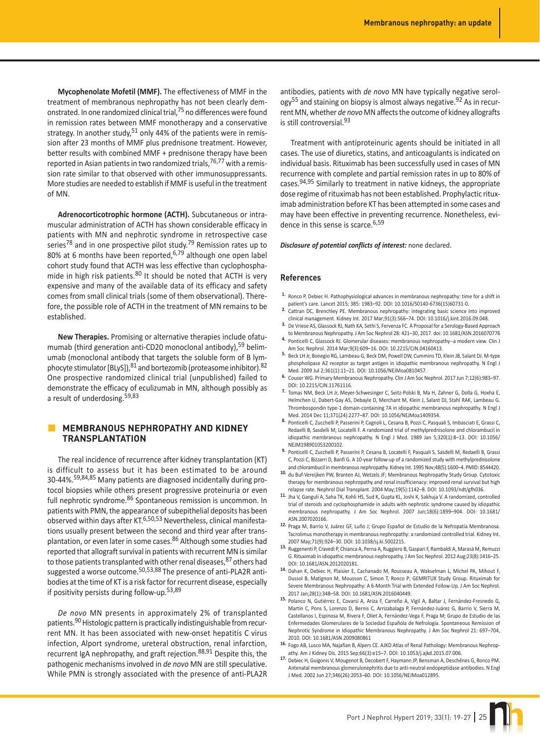**Mycophenolate Mofetil (MMF).** The effectiveness of MMF in the treatment of membranous nephropathy has not been clearly demonstrated. In one randomized clinical trial,75 no differences were found in remission rates between MMF monotherapy and a conservative strategy. In another study,  $51$  only 44% of the patients were in remission after 23 months of MMF plus prednisone treatment. However, better results with combined MMF + prednisone therapy have been reported in Asian patients in two randomized trials,  $76,77$  with a remission rate similar to that observed with other immunosuppressants. More studies are needed to establish if MMF is useful in the treatment of MN.

**Adrenocorticotrophic hormone (ACTH).** Subcutaneous or intramuscular administration of ACTH has shown considerable efficacy in patients with MN and nephrotic syndrome in retrospective case series<sup>78</sup> and in one prospective pilot study.<sup>79</sup> Remission rates up to 80% at 6 months have been reported,<sup>6,79</sup> although one open label cohort study found that ACTH was less effective than cyclophosphamide in high risk patients.<sup>80</sup> It should be noted that ACTH is very expensive and many of the available data of its efficacy and safety comes from small clinical trials (some of them observational). Therefore, the possible role of ACTH in the treatment of MN remains to be established.

**New Therapies.** Promising or alternative therapies include ofatumumab (third generation anti-CD20 monoclonal antibody),  $59$  belimumab (monoclonal antibody that targets the soluble form of B lymphocyte stimulator [BLyS]), <sup>81</sup> and bortezomib (proteasome inhibitor). <sup>82</sup> One prospective randomized clinical trial (unpublished) failed to demonstrate the efficacy of eculizumab in MN, although possibly as a result of underdosing.<sup>59,83</sup>

# **MEMBRANOUS NEPHROPATHY AND KIDNEY TRANSPLANTATION**

The real incidence of recurrence after kidney transplantation (KT) is difficult to assess but it has been estimated to be around 30-44%.59,84,85 Many patients are diagnosed incidentally during protocol biopsies while others present progressive proteinuria or even full nephrotic syndrome.<sup>86</sup> Spontaneous remission is uncommon. In patients with PMN, the appearance of subepithelial deposits has been observed within days after KT.6,50,53 Nevertheless, clinical manifestations usually present between the second and third year after transplantation, or even later in some cases.<sup>86</sup> Although some studies had reported that allograft survival in patients with recurrent MN is similar to those patients transplanted with other renal diseases, <sup>87</sup> others had suggested a worse outcome.50,53,88 The presence of anti-PLA2R antibodies at the time of KT is a risk factor for recurrent disease, especially if positivity persists during follow-up.53,89

*De novo* MN presents in approximately 2% of transplanted patients.<sup>90</sup> Histologic pattern is practically indistinguishable from recurrent MN. It has been associated with new-onset hepatitis C virus infection, Alport syndrome, ureteral obstruction, renal infarction, recurrent IgA nephropathy, and graft rejection.88,91 Despite this, the pathogenic mechanisms involved in *de novo* MN are still speculative. While PMN is strongly associated with the presence of anti-PLA2R

antibodies, patients with *de novo* MN have typically negative serol- $\text{ogy}^{55}$  and staining on biopsy is almost always negative.<sup>92</sup> As in recurrent MN, whether *de novo* MN affects the outcome of kidney allografts is still controversial.<sup>93</sup>

Treatment with antiproteinuric agents should be initiated in all cases. The use of diuretics, statins, and anticoagulants is indicated on individual basis. Rituximab has been successfully used in cases of MN recurrence with complete and partial remission rates in up to 80% of cases.94,95 Similarly to treatment in native kidneys, the appropriate dose regime of rituximab has not been established. Prophylactic rituximab administration before KT has been attempted in some cases and may have been effective in preventing recurrence. Nonetheless, evidence in this sense is scarce.<sup>6,59</sup>

#### *Disclosure of potential conflicts of interest:* none declared.

#### **References**

- **1.** Ronco P, Debiec H. Pathophysiological advances in membranous nephropathy: time for a shift in patient's care. Lancet 2015; 385: 1983–92. DOI: 10.1016/S0140-6736(15)60731-0.
- **2.** Cattran DC, Brenchley PE. Membranous nephropathy: integrating basic science into improved clinical management. Kidney Int. 2017 Mar;91(3):566–74. DOI: 10.1016/j.kint.2016.09.048.
- **3.** De Vriese AS, Glassock RJ, Nath KA, Sethi S, Fervenza FC. A Proposal for a Serology-Based Approach to Membranous Nephropathy. J Am Soc Nephrol 28: 421–30, 2017. doi: 10.1681/ASN.2016070776
- **4.** Ponticelli C, Glassock RJ. Glomerular diseases: membranous nephropathy--a modern view. Clin J Am Soc Nephrol. 2014 Mar;9(3):609–16. DOI: 10.2215/CJN.04160413.
- **5.** Beck LH Jr, Bonegio RG, Lambeau G, Beck DM, Powell DW, Cummins TD, Klein JB, Salant DJ. M-type phospholipase A2 receptor as target antigen in idiopathic membranous nephropathy. N Engl J Med. 2009 Jul 2;361(1):11–21. DOI: 10.1056/NEJMoa0810457.
- **6.** Couser WG. Primary Membranous Nephropathy. Clin J Am Soc Nephrol. 2017 Jun 7;12(6):983–97. DOI: 10.2215/CJN.11761116.
- **7.** Tomas NM, Beck LH Jr, Meyer-Schwesinger C, Seitz-Polski B, Ma H, Zahner G, Dolla G, Hoxha E, Helmchen U, Dabert-Gay AS, Debayle D, Merchant M, Klein J, Salant DJ, Stahl RAK, Lambeau G. Thrombospondin type-1 domain-containing 7A in idiopathic membranous nephropathy. N Engl J Med. 2014 Dec 11;371(24):2277–87. DOI: 10.1056/NEJMoa1409354.
- 8. Ponticelli C, Zucchelli P, Passerini P, Cagnoli L, Cesana B, Pozzi C, Pasquali S, Imbasciati E, Grassi C, Redaelli B, Sasdelli M, Locatelli F. A randomized trial of methylprednisolone and chlorambucil in idiopathic membranous nephropathy. N Engl J Med. 1989 Jan 5;320(1):8–13. DOI: 10.1056/ NEJM198901053200102.
- **9.** Ponticelli C, Zucchelli P, Passerini P, Cesana B, Locatelli F, Pasquali S, Sasdelli M, Redaelli B, Grassi C, Pozzi C, Bizzarri D, Banfi G. A 10-year follow-up of a randomized study with methylprednisolone and chlorambucil in membranous nephropathy. Kidney Int. 1995 Nov;48(5):1600–4. PMID: 8544420.
- **10.** du Buf-Vereijken PW, Branten AJ, Wetzels JF; Membranous Nephropathy Study Group. Cytotoxic therapy for membranous nephropathy and renal insufficienacy: improved renal survival but high relapse rate. Nephrol Dial Transplant. 2004 May;19(5):1142–8. DOI: 10.1093/ndt/gfh036.
- **11.** Jha V, Ganguli A, Saha TK, Kohli HS, Sud K, Gupta KL, Joshi K, Sakhuja V. A randomized, controlled trial of steroids and cyclophosphamide in adults with nephrotic syndrome caused by idiopathic membranous nephropathy. J Am Soc Nephrol. 2007 Jun;18(6):1899–904. DOI: 10.1681/ ASN.2007020166.
- **12.** Praga M, Barrio V, Juárez GF, Luño J; Grupo Español de Estudio de la Nefropatía Membranosa. Tacrolimus monotherapy in membranous nephropathy: a randomized controlled trial. Kidney Int. 2007 May;71(9):924–30. DOI: 10.1038/sj.ki.5002215.
- **13.** Ruggenenti P, Cravedi P, Chianca A, Perna A, Ruggiero B, Gaspari F, Rambaldi A, Marasà M, Remuzzi G. Rituximab in idiopathic membranous nephropathy. J Am Soc Nephrol. 2012 Aug;23(8):1416–25. DOI: 10.1681/ASN.2012020181.
- **14.** Dahan K, Debiec H, Plaisier E, Cachanado M, Rousseau A, Wakselman L, Michel PA, Mihout F, Dussol B, Matignon M, Mousson C, Simon T, Ronco P; GEMRITUX Study Group. Rituximab for Severe Membranous Nephropathy: A 6-Month Trial with Extended Follow-Up. J Am Soc Nephrol. 2017 Jan;28(1):348–58. DOI: 10.1681/ASN.2016040449.
- **15.** Polanco N, Gutiérrez E, Covarsí A, Ariza F, Carreño A, Vigil A, Baltar J, Fernández-Fresnedo G, Martín C, Pons S, Lorenzo D, Bernis C, Arrizabalaga P, Fernández-Juárez G, Barrio V, Sierra M, Castellanos I, Espinosa M, Rivera F, Oliet A, Fernández-Vega F, Praga M; Grupo de Estudio de las Enfermedades Glomerulares de la Sociedad Española de Nefrología. Spontaneous Remission of Nephrotic Syndrome in Idiopathic Membranous Nephropathy. J Am Soc Nephrol 21: 697–704, 2010. DOI: 10.1681/ASN.2009080861
- **16.** Fogo AB, Lusco MA, Najafian B, Alpers CE. AJKD Atlas of Renal Pathology: Membranous Nephropathy. Am J Kidney Dis. 2015 Sep;66(3):e15–7. DOI: 10.1053/j.ajkd.2015.07.006.
- **17.** Debiec H, Guigonis V, Mougenot B, Decobert F, Haymann JP, Bensman A, Deschênes G, Ronco PM. Antenatal membranous glomerulonephritis due to anti-neutral endopeptidase antibodies. N Engl J Med. 2002 Jun 27;346(26):2053–60. DOI: 10.1056/NEJMoa012895.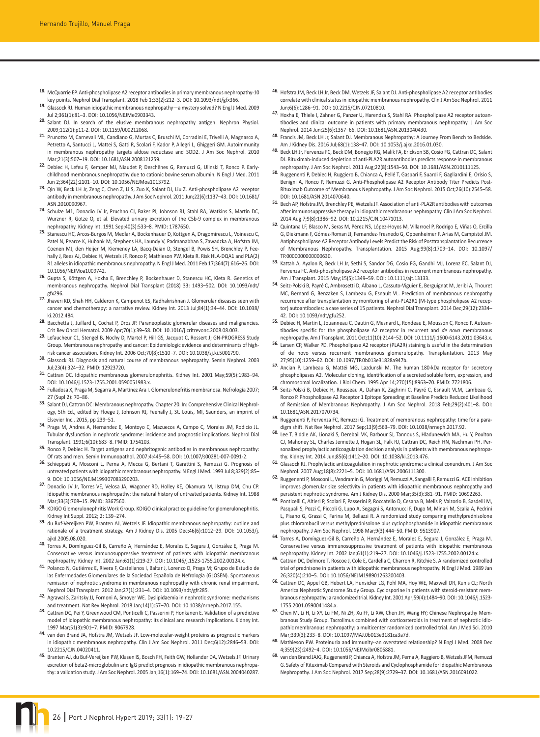- **18.** McQuarrie EP. Anti-phospholipase A2 receptor antibodies in primary membranous nephropathy-10 key points. Nephrol Dial Transplant. 2018 Feb 1;33(2):212–3. DOI: 10.1093/ndt/gfx366.
- **19.** Glassock RJ. Human idiopathic membranous nephropathy—a mystery solved? N Engl J Med. 2009 Jul 2;361(1):81–3. DOI: 10.1056/NEJMe0903343.
- **20.** Salant DJ. In search of the elusive membranous nephropathy antigen. Nephron Physiol. 2009;112(1):p11-2. DOI: 10.1159/000212068.
- **21.** Prunotto M, Carnevali ML, Candiano G, Murtas C, Bruschi M, Corradini E, Trivelli A, Magnasco A, Petretto A, Santucci L, Mattei S, Gatti R, Scolari F, Kador P, Allegri L, Ghiggeri GM. Autoimmunity in membranous nephropathy targets aldose reductase and SOD2. J Am Soc Nephrol. 2010 Mar;21(3):507–19. DOI: 10.1681/ASN.2008121259.
- **22.** Debiec H, Lefeu F, Kemper MJ, Niaudet P, Deschênes G, Remuzzi G, Ulinski T, Ronco P. Earlychildhood membranous nephropathy due to cationic bovine serum albumin. N Engl J Med. 2011 Jun 2;364(22):2101–10. DOI: 10.1056/NEJMoa1013792.
- **23.** Qin W, Beck LH Jr, Zeng C, Chen Z, Li S, Zuo K, Salant DJ, Liu Z. Anti-phospholipase A2 receptor antibody in membranous nephropathy. J Am Soc Nephrol. 2011 Jun;22(6):1137–43. DOI: 10.1681/ ASN.2010090967.
- **24.** Schulze M1, Donadio JV Jr, Pruchno CJ, Baker PJ, Johnson RJ, Stahl RA, Watkins S, Martin DC, Wurzner R, Gotze O, et al. Elevated urinary excretion of the C5b-9 complex in membranous nephropathy. Kidney Int. 1991 Sep;40(3):533–8. PMID: 1787650.
- **25.** Stanescu HC, Arcos-Burgos M, Medlar A, Bockenhauer D, Kottgen A, Dragomirescu L, Voinescu C, Patel N, Pearce K, Hubank M, Stephens HA, Laundy V, Padmanabhan S, Zawadzka A, Hofstra JM, Coenen MJ, den Heijer M, Kiemeney LA, Bacq-Daian D, Stengel B, Powis SH, Brenchley P, Feehally J, Rees AJ, Debiec H, Wetzels JF, Ronco P, Mathieson PW, Kleta R. Risk HLA-DQA1 and PLA(2) R1 alleles in idiopathic membranous nephropathy. N Engl J Med. 2011 Feb 17;364(7):616–26. DOI: 10.1056/NEJMoa1009742.
- **26.** Gupta S, Köttgen A, Hoxha E, Brenchley P, Bockenhauer D, Stanescu HC, Kleta R. Genetics of membranous nephropathy. Nephrol Dial Transplant (2018) 33: 1493–502. DOI: 10.1093/ndt/ gfx296.
- **27.** Jhaveri KD, Shah HH, Calderon K, Campenot ES, Radhakrishnan J. Glomerular diseases seen with cancer and chemotherapy: a narrative review. Kidney Int. 2013 Jul;84(1):34–44. DOI: 10.1038/ ki.2012.484.
- **28.** Bacchetta J, Juillard L, Cochat P, Droz JP. Paraneoplastic glomerular diseases and malignancies. Crit Rev Oncol Hematol. 2009 Apr;70(1):39–58. DOI: 10.1016/j.critrevonc.2008.08.003.
- **29.** Lefaucheur C1, Stengel B, Nochy D, Martel P, Hill GS, Jacquot C, Rossert J; GN-PROGRESS Study Group. Membranous nephropathy and cancer: Epidemiologic evidence and determinants of highrisk cancer association. Kidney Int. 2006 Oct;70(8):1510–7. DOI: 10.1038/sj.ki.5001790.
- **30.** Glassock RJ. Diagnosis and natural course of membranous nephropathy. Semin Nephrol. 2003 Jul;23(4):324–32. PMID: 12923720.
- **31.** Cattran DC. Idiopathic membranous glomerulonephritis. Kidney Int. 2001 May;59(5):1983–94. DOI: 10.1046/j.1523-1755.2001.0590051983.x.
- **32.** Fulladosa X, Praga M, Segarra A, Martínez Ara I. Glomerulonefritis membranosa. Nefrología 2007; 27 (Supl 2): 70–86.
- **33.** Salant DJ, Cattran DC: Membranous nephropathy. Chapter 20. In: Comprehensive Clinical Nephrology, 5th Ed., edited by Floege J, Johnson RJ, Feehally J, St. Louis, MI, Saunders, an imprint of Elsevier Inc., 2015, pp 239–51.
- **34.** Praga M, Andres A, Hernandez E, Montoyo C, Mazuecos A, Campo C, Morales JM, Rodicio JL. Tubular dysfunction in nephrotic syndrome: incidence and prognostic implications. Nephrol Dial Transplant. 1991;6(10):683–8. PMID: 1754103.
- **35.** Ronco P, Debiec H. Target antigens and nephritogenic antibodies in membranous nephropathy: Of rats and men. Semin Immunopathol. 2007;4:445–58. DOI: 10.1007/s00281-007-0091-2.
- **36.** Schieppati A, Mosconi L, Perna A, Mecca G, Bertani T, Garattini S, Remuzzi G. Prognosis of untreated patients with idiopathic membranous nephropathy. N Engl J Med. 1993 Jul 8;329(2):85– 9. DOI: 10.1056/NEJM199307083290203.
- **37.** Donadio JV Jr, Torres VE, Velosa JA, Wagoner RD, Holley KE, Okamura M, Ilstrup DM, Chu CP. Idiopathic membranous nephropathy: the natural history of untreated patients. Kidney Int. 1988 Mar;33(3):708–15. PMID: 3367560.
- **38.** KDIGO Glomerulonephritis Work Group. KDIGO clinical practice guideline for glomerulonephritis. Kidney Int Suppl. 2012; 2: 139–274.
- **39.** du Buf-Vereijken PW, Branten AJ, Wetzels JF. Idiopathic membranous nephropathy: outline and rationale of a treatment strategy. Am J Kidney Dis. 2005 Dec;46(6):1012–29. DOI: 10.1053/j. ajkd.2005.08.020.
- **40.** Torres A, Domínguez-Gil B, Carreño A, Hernández E, Morales E, Segura J, González E, Praga M. Conservative versus immunosuppressive treatment of patients with idiopathic membranous nephropathy. Kidney Int. 2002 Jan;61(1):219-27. DOI: 10.1046/j.1523-1755.2002.00124.x.
- **41.** Polanco N, Gutiérrez E, Rivera F, Castellanos I, Baltar J, Lorenzo D, Praga M; Grupo de Estudio de las Enfermedades Glomerulares de la Sociedad Española de Nefrología (GLOSEN). Spontaneous remission of nephrotic syndrome in membranous nephropathy with chronic renal impairment. Nephrol Dial Transplant. 2012 Jan;27(1):231–4. DOI: 10.1093/ndt/gfr285.
- **42.** Agrawal S, Zaritsky JJ, Fornoni A, Smoyer WE. Dyslipidaemia in nephrotic syndrome: mechanisms and treatment. Nat Rev Nephrol. 2018 Jan;14(1):57–70. DOI: 10.1038/nrneph.2017.155.
- **43.** Cattran DC, Pei Y, Greenwood CM, Ponticelli C, Passerini P, Honkanen E. Validation of a predictive model of idiopathic membranous nephropathy: its clinical and research implications. Kidney Int. 1997 Mar;51(3):901–7. PMID: 9067928.
- **44.** van den Brand JA, Hofstra JM, Wetzels JF. Low-molecular-weight proteins as prognostic markers in idiopathic membranous nephropathy. Clin J Am Soc Nephrol. 2011 Dec;6(12):2846–53. DOI: 10.2215/CJN.04020411.
- **45.** Branten AJ, du Buf-Vereijken PW, Klasen IS, Bosch FH, Feith GW, Hollander DA, Wetzels JF. Urinary excretion of beta2-microglobulin and IgG predict prognosis in idiopathic membranous nephropathy: a validation study. J Am Soc Nephrol. 2005 Jan;16(1):169–74. DOI: 10.1681/ASN.2004040287.
- **46.** Hofstra JM, Beck LH Jr, Beck DM, Wetzels JF, Salant DJ. Anti-phospholipase A2 receptor antibodies correlate with clinical status in idiopathic membranous nephropathy. Clin J Am Soc Nephrol. 2011 Jun;6(6):1286–91. DOI: 10.2215/CJN.07210810.
- **47.** Hoxha E, Thiele I, Zahner G, Panzer U, Harendza S, Stahl RA. Phospholipase A2 receptor autoantibodies and clinical outcome in patients with primary membranous nephropathy. J Am Soc Nephrol. 2014 Jun;25(6):1357–66. DOI: 10.1681/ASN.2013040430.
- **48.** Francis JM, Beck LH Jr, Salant DJ. Membranous Nephropathy: A Journey From Bench to Bedside. Am J Kidney Dis. 2016 Jul;68(1):138–47. DOI: 10.1053/j.ajkd.2016.01.030.
- **49.** Beck LH Jr, Fervenza FC, Beck DM, Bonegio RG, Malik FA, Erickson SB, Cosio FG, Cattran DC, Salant DJ. Rituximab-induced depletion of anti-PLA2R autoantibodies predicts response in membranous nephropathy. J Am Soc Nephrol. 2011 Aug;22(8):1543–50. DOI: 10.1681/ASN.2010111125.
- **50.** Ruggenenti P, Debiec H, Ruggiero B, Chianca A, Pellé T, Gaspari F, Suardi F, Gagliardini E, Orisio S, Benigni A, Ronco P, Remuzzi G. Anti-Phospholipase A2 Receptor Antibody Titer Predicts Post-Rituximab Outcome of Membranous Nephropathy. J Am Soc Nephrol. 2015 Oct;26(10):2545–58. DOI: 10.1681/ASN.2014070640.
- **51.** Bech AP, Hofstra JM, Brenchley PE, Wetzels JF. Association of anti-PLA2R antibodies with outcomes after immunosuppressive therapy in idiopathic membranous nephropathy. Clin J Am Soc Nephrol. 2014 Aug 7;9(8):1386–92. DOI: 10.2215/CJN.10471013.
- **52.** Quintana LF, Blasco M, Seras M, Pérez NS, López-Hoyos M, Villarroel P, Rodrigo E, Viñas O, Ercilla G, Diekmann F, Gómez-Roman JJ, Fernandez-Fresnedo G, Oppenheimer F, Arias M, Campistol JM. Antiphospholipase A2 Receptor Antibody Levels Predict the Risk of Posttransplantation Recurrence of Membranous Nephropathy. Transplantation. 2015 Aug;99(8):1709–14. DOI: 10.1097/ TP.0000000000000630.
- **53.** Kattah A, Ayalon R, Beck LH Jr, Sethi S, Sandor DG, Cosio FG, Gandhi MJ, Lorenz EC, Salant DJ, Fervenza FC. Anti-phospholipase A2 receptor antibodies in recurrent membranous nephropathy. Am J Transplant. 2015 May;15(5):1349–59. DOI: 10.1111/ajt.13133.
- **54.** Seitz-Polski B, Payré C, Ambrosetti D, Albano L, Cassuto-Viguier E, Berguignat M, Jeribi A, Thouret MC, Bernard G, Benzaken S, Lambeau G, Esnault VL. Prediction of membranous nephropathy recurrence after transplantation by monitoring of anti-PLA2R1 (M-type phospholipase A2 receptor) autoantibodies: a case series of 15 patients. Nephrol Dial Transplant. 2014 Dec;29(12):2334– 42. DOI: 10.1093/ndt/gfu252.
- **55.** Debiec H, Martin L, Jouanneau C, Dautin G, Mesnard L, Rondeau E, Mousson C, Ronco P. Autoantibodies specific for the phospholipase A2 receptor in recurrent and *de novo* membranous nephropathy. Am J Transplant. 2011 Oct;11(10):2144–52. DOI: 10.1111/j.1600-6143.2011.03643.x.
- **56.** Larsen CP, Walker PD. Phospholipase A2 receptor (PLA2R) staining is useful in the determination of de novo versus recurrent membranous glomerulopathy. Transplantation. 2013 May 27;95(10):1259–62. DOI: 10.1097/TP.0b013e31828a947b.
- **57.** Ancian P, Lambeau G, Mattéi MG, Lazdunski M. The human 180-kDa receptor for secretory phospholipases A2. Molecular cloning, identification of a secreted soluble form, expression, and chromosomal localization. J Biol Chem. 1995 Apr 14;270(15):8963–70. PMID: 7721806.
- **58.** Seitz-Polski B, Debiec H, Rousseau A, Dahan K, Zaghrini C, Payré C, Esnault VLM, Lambeau G, Ronco P. Phospholipase A2 Receptor 1 Epitope Spreading at Baseline Predicts Reduced Likelihood of Remission of Membranous Nephropathy. J Am Soc Nephrol. 2018 Feb;29(2):401–8. DOI: 10.1681/ASN.2017070734.
- **59.** Ruggenenti P, Fervenza FC, Remuzzi G. Treatment of membranous nephropathy: time for a paradigm shift. Nat Rev Nephrol. 2017 Sep;13(9):563–79. DOI: 10.1038/nrneph.2017.92.
- **60.** Lee T, Biddle AK, Lionaki S, Derebail VK, Barbour SJ, Tannous S, Hladunewich MA, Hu Y, Poulton CJ, Mahoney SL, Charles Jennette J, Hogan SL, Falk RJ, Cattran DC, Reich HN, Nachman PH. Personalized prophylactic anticoagulation decision analysis in patients with membranous nephropathy. Kidney Int. 2014 Jun;85(6):1412–20. DOI: 10.1038/ki.2013.476.
- **61.** Glassock RJ. Prophylactic anticoagulation in nephrotic syndrome: a clinical conundrum. J Am Soc Nephrol. 2007 Aug;18(8):2221–5. DOI: 10.1681/ASN.2006111300.
- **62.** Ruggenenti P, Mosconi L, Vendramin G, Moriggi M, Remuzzi A, Sangalli F, Remuzzi G. ACE inhibition improves glomerular size selectivity in patients with idiopathic membranous nephropathy and persistent nephrotic syndrome. Am J Kidney Dis. 2000 Mar;35(3):381–91. PMID: 10692263.
- **63.** Ponticelli C, Altieri P, Scolari F, Passerini P, Roccatello D, Cesana B, Melis P, Valzorio B, Sasdelli M, Pasquali S, Pozzi C, Piccoli G, Lupo A, Segagni S, Antonucci F, Dugo M, Minari M, Scalia A, Pedrini L, Pisano G, Grassi C, Farina M, Bellazzi R. A randomized study comparing methylprednisolone plus chlorambucil versus methylprednisolone plus cyclophosphamide in idiopathic membranous nephropathy. J Am Soc Nephrol. 1998 Mar;9(3):444–50. PMID: 9513907.
- **64.** Torres A, Domínguez-Gil B, Carreño A, Hernández E, Morales E, Segura J, González E, Praga M. Conservative versus immunosuppressive treatment of patients with idiopathic membranous nephropathy. Kidney Int. 2002 Jan;61(1):219–27. DOI: 10.1046/j.1523-1755.2002.00124.x.
- **65.** Cattran DC, Delmore T, Roscoe J, Cole E, Cardella C, Charron R, Ritchie S. A randomized controlled trial of prednisone in patients with idiopathic membranous nephropathy. N Engl J Med. 1989 Jan 26;320(4):210–5. DOI: 10.1056/NEJM198901263200403.
- **66.** Cattran DC, Appel GB, Hebert LA, Hunsicker LG, Pohl MA, Hoy WE, Maxwell DR, Kunis CL; North America Nephrotic Syndrome Study Group. Cyclosporine in patients with steroid-resistant membranous nephropathy: a randomized trial. Kidney Int. 2001 Apr;59(4):1484–90. DOI: 10.1046/j.1523- 1755.2001.0590041484.x.
- **67.** Chen M, Li H, Li XY, Lu FM, Ni ZH, Xu FF, Li XW, Chen JH, Wang HY; Chinese Nephropathy Membranous Study Group. Tacrolimus combined with corticosteroids in treatment of nephrotic idiopathic membranous nephropathy: a multicenter randomized controlled trial. Am J Med Sci. 2010 Mar;339(3):233–8. DOI: 10.1097/MAJ.0b013e3181ca3a7d.
- **68.** Mathieson PW. Proteinuria and immunity--an overstated relationship? N Engl J Med. 2008 Dec 4;359(23):2492–4. DOI: 10.1056/NEJMcibr0806881.
- **69.** van den Brand JAJG, Ruggenenti P, Chianca A, Hofstra JM, Perna A, Ruggiero B, Wetzels JFM, Remuzzi G. Safety of Rituximab Compared with Steroids and Cyclophosphamide for Idiopathic Membranous Nephropathy. J Am Soc Nephrol. 2017 Sep;28(9):2729–37. DOI: 10.1681/ASN.2016091022.